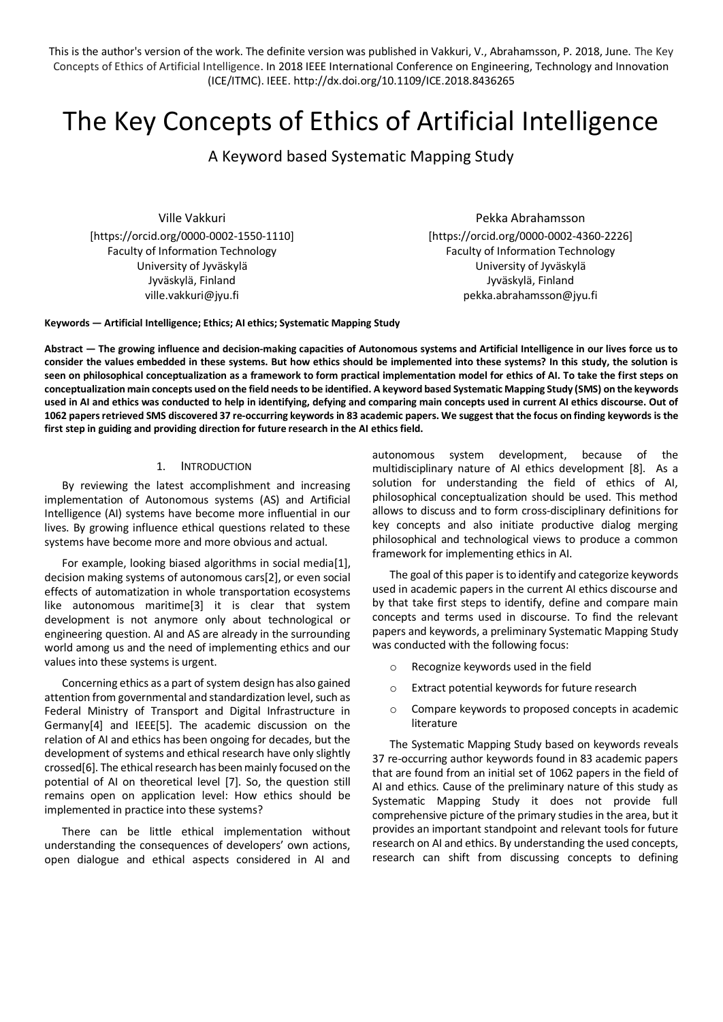# The Key Concepts of Ethics of Artificial Intelligence

A Keyword based Systematic Mapping Study

Ville Vakkuri [https://orcid.org/0000-0002-1550-1110] Faculty of Information Technology University of Jyväskylä Jyväskylä, Finland ville.vakkuri@jyu.fi

Pekka Abrahamsson [https://orcid.org/0000-0002-4360-2226] Faculty of Information Technology University of Jyväskylä Jyväskylä, Finland pekka.abrahamsson@jyu.fi

**Keywords — Artificial Intelligence; Ethics; AI ethics; Systematic Mapping Study** 

**Abstract — The growing influence and decision-making capacities of Autonomous systems and Artificial Intelligence in our lives force us to consider the values embedded in these systems. But how ethics should be implemented into these systems? In this study, the solution is seen on philosophical conceptualization as a framework to form practical implementation model for ethics of AI. To take the first steps on conceptualization main concepts used on the field needs to be identified. A keyword based Systematic Mapping Study (SMS) on the keywords used in AI and ethics was conducted to help in identifying, defying and comparing main concepts used in current AI ethics discourse. Out of 1062 papers retrieved SMS discovered 37 re-occurring keywords in 83 academic papers. We suggest that the focus on finding keywords is the first step in guiding and providing direction for future research in the AI ethics field.**

#### 1. INTRODUCTION

By reviewing the latest accomplishment and increasing implementation of Autonomous systems (AS) and Artificial Intelligence (AI) systems have become more influential in our lives. By growing influence ethical questions related to these systems have become more and more obvious and actual.

For example, looking biased algorithms in social media[1], decision making systems of autonomous cars[2], or even social effects of automatization in whole transportation ecosystems like autonomous maritime[3] it is clear that system development is not anymore only about technological or engineering question. AI and AS are already in the surrounding world among us and the need of implementing ethics and our values into these systems is urgent.

Concerning ethics as a part of system design has also gained attention from governmental and standardization level, such as Federal Ministry of Transport and Digital Infrastructure in Germany[4] and IEEE[5]. The academic discussion on the relation of AI and ethics has been ongoing for decades, but the development of systems and ethical research have only slightly crossed[6]. The ethical research has been mainly focused on the potential of AI on theoretical level [7]. So, the question still remains open on application level: How ethics should be implemented in practice into these systems?

There can be little ethical implementation without understanding the consequences of developers' own actions, open dialogue and ethical aspects considered in AI and autonomous system development, because of the multidisciplinary nature of AI ethics development [8]. As a solution for understanding the field of ethics of AI, philosophical conceptualization should be used. This method allows to discuss and to form cross-disciplinary definitions for key concepts and also initiate productive dialog merging philosophical and technological views to produce a common framework for implementing ethics in AI.

The goal of this paper is to identify and categorize keywords used in academic papers in the current AI ethics discourse and by that take first steps to identify, define and compare main concepts and terms used in discourse. To find the relevant papers and keywords, a preliminary Systematic Mapping Study was conducted with the following focus:

- o Recognize keywords used in the field
- o Extract potential keywords for future research
- o Compare keywords to proposed concepts in academic literature

The Systematic Mapping Study based on keywords reveals 37 re-occurring author keywords found in 83 academic papers that are found from an initial set of 1062 papers in the field of AI and ethics. Cause of the preliminary nature of this study as Systematic Mapping Study it does not provide full comprehensive picture of the primary studies in the area, but it provides an important standpoint and relevant tools for future research on AI and ethics. By understanding the used concepts, research can shift from discussing concepts to defining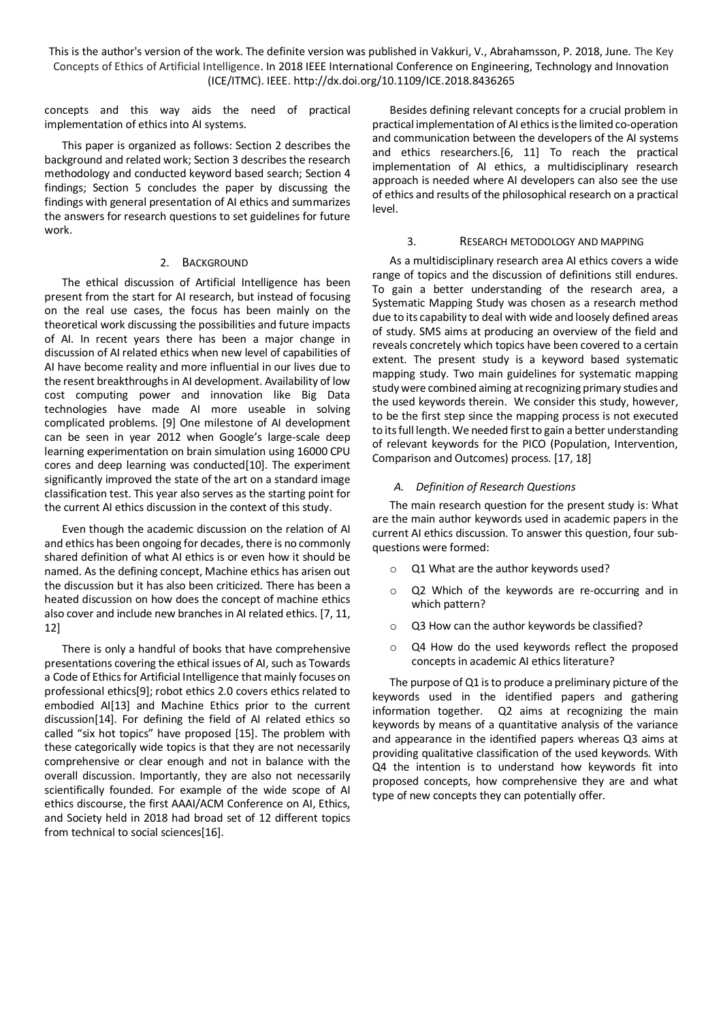concepts and this way aids the need of practical implementation of ethics into AI systems.

This paper is organized as follows: Section 2 describes the background and related work; Section 3 describes the research methodology and conducted keyword based search; Section 4 findings; Section 5 concludes the paper by discussing the findings with general presentation of AI ethics and summarizes the answers for research questions to set guidelines for future work.

## 2. BACKGROUND

The ethical discussion of Artificial Intelligence has been present from the start for AI research, but instead of focusing on the real use cases, the focus has been mainly on the theoretical work discussing the possibilities and future impacts of AI. In recent years there has been a major change in discussion of AI related ethics when new level of capabilities of AI have become reality and more influential in our lives due to the resent breakthroughs in AI development. Availability of low cost computing power and innovation like Big Data technologies have made AI more useable in solving complicated problems. [9] One milestone of AI development can be seen in year 2012 when Google's large-scale deep learning experimentation on brain simulation using 16000 CPU cores and deep learning was conducted[10]. The experiment significantly improved the state of the art on a standard image classification test. This year also serves as the starting point for the current AI ethics discussion in the context of this study.

Even though the academic discussion on the relation of AI and ethics has been ongoing for decades, there is no commonly shared definition of what AI ethics is or even how it should be named. As the defining concept, Machine ethics has arisen out the discussion but it has also been criticized. There has been a heated discussion on how does the concept of machine ethics also cover and include new branches in AI related ethics. [7, 11, 12]

There is only a handful of books that have comprehensive presentations covering the ethical issues of AI, such as Towards a Code of Ethics for Artificial Intelligence that mainly focuses on professional ethics[9]; robot ethics 2.0 covers ethics related to embodied AI[13] and Machine Ethics prior to the current discussion[14]. For defining the field of AI related ethics so called "six hot topics" have proposed [15]. The problem with these categorically wide topics is that they are not necessarily comprehensive or clear enough and not in balance with the overall discussion. Importantly, they are also not necessarily scientifically founded. For example of the wide scope of AI ethics discourse, the first AAAI/ACM Conference on AI, Ethics, and Society held in 2018 had broad set of 12 different topics from technical to social sciences[16].

Besides defining relevant concepts for a crucial problem in practical implementation of AI ethics is the limited co-operation and communication between the developers of the AI systems and ethics researchers.[6, 11] To reach the practical implementation of AI ethics, a multidisciplinary research approach is needed where AI developers can also see the use of ethics and results of the philosophical research on a practical level.

### 3. RESEARCH METODOLOGY AND MAPPING

As a multidisciplinary research area AI ethics covers a wide range of topics and the discussion of definitions still endures. To gain a better understanding of the research area, a Systematic Mapping Study was chosen as a research method due to its capability to deal with wide and loosely defined areas of study. SMS aims at producing an overview of the field and reveals concretely which topics have been covered to a certain extent. The present study is a keyword based systematic mapping study. Two main guidelines for systematic mapping study were combined aiming at recognizing primary studies and the used keywords therein. We consider this study, however, to be the first step since the mapping process is not executed to its full length. We needed first to gain a better understanding of relevant keywords for the PICO (Population, Intervention, Comparison and Outcomes) process. [17, 18]

## *A. Definition of Research Questions*

The main research question for the present study is: What are the main author keywords used in academic papers in the current AI ethics discussion. To answer this question, four subquestions were formed:

- o Q1 What are the author keywords used?
- o Q2 Which of the keywords are re-occurring and in which pattern?
- o Q3 How can the author keywords be classified?
- o Q4 How do the used keywords reflect the proposed concepts in academic AI ethics literature?

The purpose of Q1 is to produce a preliminary picture of the keywords used in the identified papers and gathering information together. Q2 aims at recognizing the main keywords by means of a quantitative analysis of the variance and appearance in the identified papers whereas Q3 aims at providing qualitative classification of the used keywords. With Q4 the intention is to understand how keywords fit into proposed concepts, how comprehensive they are and what type of new concepts they can potentially offer.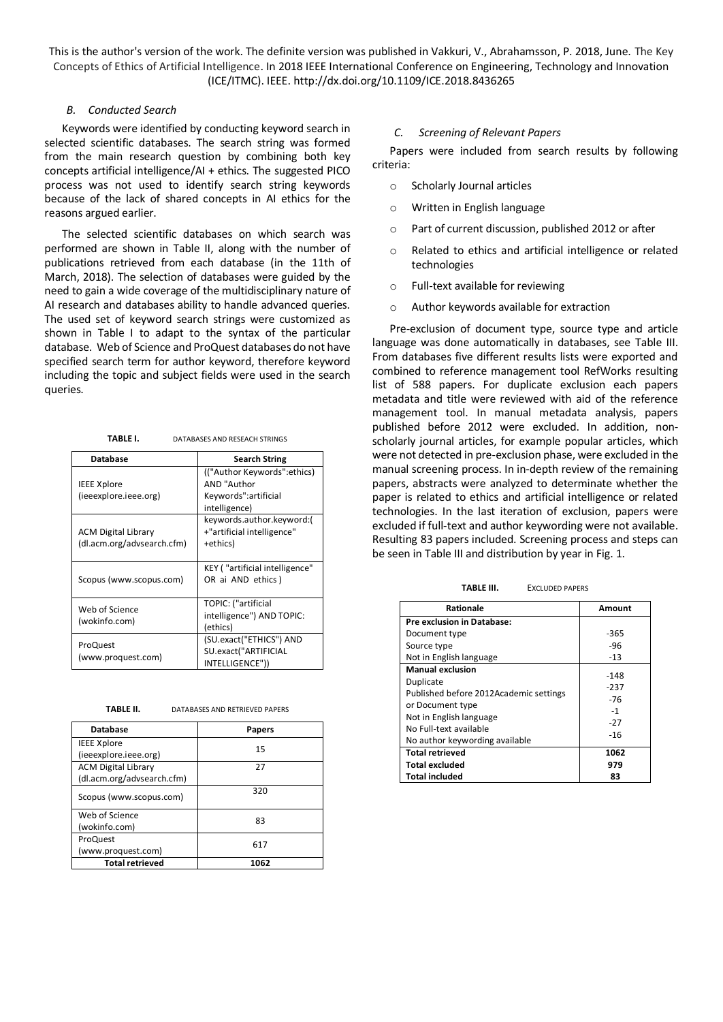#### *B. Conducted Search*

Keywords were identified by conducting keyword search in selected scientific databases. The search string was formed from the main research question by combining both key concepts artificial intelligence/AI + ethics. The suggested PICO process was not used to identify search string keywords because of the lack of shared concepts in AI ethics for the reasons argued earlier.

The selected scientific databases on which search was performed are shown in Table II, along with the number of publications retrieved from each database (in the 11th of March, 2018). The selection of databases were guided by the need to gain a wide coverage of the multidisciplinary nature of AI research and databases ability to handle advanced queries. The used set of keyword search strings were customized as shown in Table I to adapt to the syntax of the particular database. Web of Science and ProQuest databases do not have specified search term for author keyword, therefore keyword including the topic and subject fields were used in the search queries.

**TABLE I.** DATABASES AND RESEACH STRINGS

| Database                                                 | <b>Search String</b>                                                                |
|----------------------------------------------------------|-------------------------------------------------------------------------------------|
| <b>IEEE Xplore</b><br>(ieeexplore.ieee.org)              | (("Author Keywords":ethics)<br>AND "Author<br>Keywords":artificial<br>intelligence) |
| <b>ACM Digital Library</b><br>(dl.acm.org/advsearch.cfm) | keywords.author.keyword:(<br>+"artificial intelligence"<br>+ethics)                 |
| Scopus (www.scopus.com)                                  | KEY ("artificial intelligence"<br>OR ai AND ethics)                                 |
| Web of Science<br>(wokinfo.com)                          | TOPIC: ("artificial<br>intelligence") AND TOPIC:<br>(ethics)                        |
| ProQuest<br>(www.proquest.com)                           | (SU.exact("ETHICS") AND<br>SU.exact("ARTIFICIAL<br>INTELLIGENCE"))                  |

| <b>Database</b>                                          | <b>Papers</b> |
|----------------------------------------------------------|---------------|
| <b>IEEE Xplore</b><br>(ieeexplore.ieee.org)              | 15            |
| <b>ACM Digital Library</b><br>(dl.acm.org/advsearch.cfm) | 27            |
| Scopus (www.scopus.com)                                  | 320           |
| Web of Science<br>(wokinfo.com)                          | 83            |
| ProQuest<br>(www.proquest.com)                           | 617           |
| Total retrieved                                          | 1062          |

#### *C. Screening of Relevant Papers*

Papers were included from search results by following criteria:

- o Scholarly Journal articles
- o Written in English language
- o Part of current discussion, published 2012 or after
- o Related to ethics and artificial intelligence or related technologies
- o Full-text available for reviewing
- o Author keywords available for extraction

Pre-exclusion of document type, source type and article language was done automatically in databases, see Table III. From databases five different results lists were exported and combined to reference management tool RefWorks resulting list of 588 papers. For duplicate exclusion each papers metadata and title were reviewed with aid of the reference management tool. In manual metadata analysis, papers published before 2012 were excluded. In addition, nonscholarly journal articles, for example popular articles, which were not detected in pre-exclusion phase, were excluded in the manual screening process. In in-depth review of the remaining papers, abstracts were analyzed to determinate whether the paper is related to ethics and artificial intelligence or related technologies. In the last iteration of exclusion, papers were excluded if full-text and author keywording were not available. Resulting 83 papers included. Screening process and steps can be seen in Table III and distribution by year in Fig. 1.

| <b>Rationale</b>                                                                                   | Amount                  |
|----------------------------------------------------------------------------------------------------|-------------------------|
| <b>Pre exclusion in Database:</b>                                                                  |                         |
| Document type                                                                                      | $-365$                  |
| Source type                                                                                        | $-96$                   |
| Not in English language                                                                            | $-13$                   |
| <b>Manual exclusion</b><br>Duplicate<br>Published before 2012Academic settings<br>or Document type | -148<br>$-237$<br>$-76$ |
| Not in English language<br>No Full-text available<br>No author keywording available                | $-1$<br>$-27$<br>$-16$  |
| <b>Total retrieved</b><br><b>Total excluded</b><br><b>Total included</b>                           | 1062<br>979<br>83       |

**TABLE III. EXCLUDED PAPERS**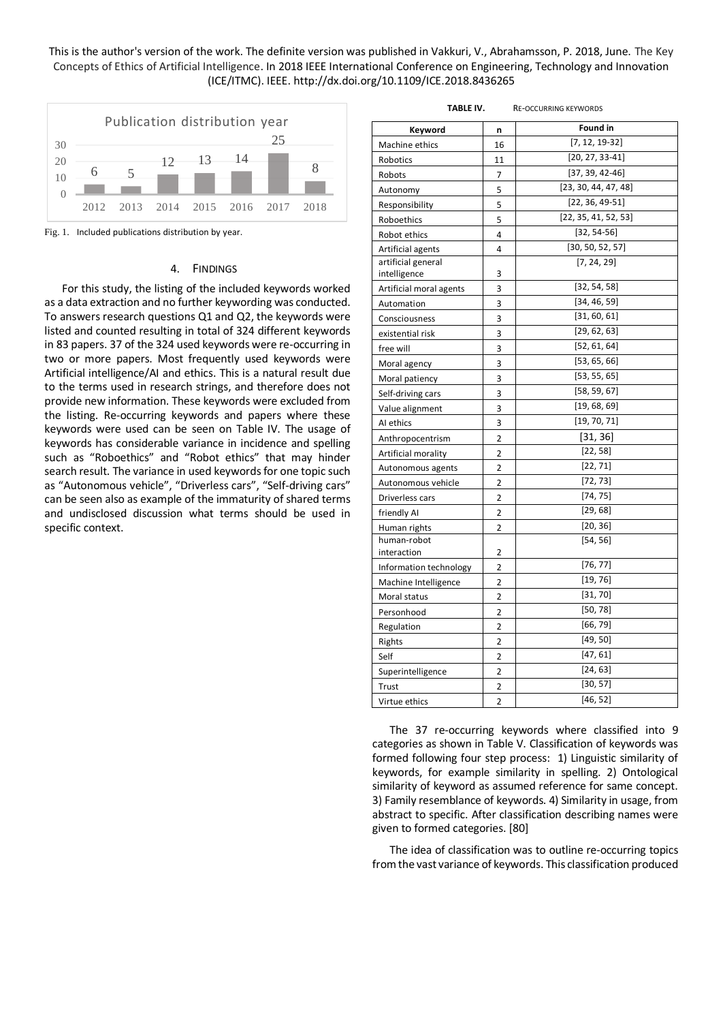

Fig. 1. Included publications distribution by year.

#### 4. FINDINGS

For this study, the listing of the included keywords worked as a data extraction and no further keywording was conducted. To answers research questions Q1 and Q2, the keywords were listed and counted resulting in total of 324 different keywords in 83 papers. 37 of the 324 used keywords were re-occurring in two or more papers. Most frequently used keywords were Artificial intelligence/AI and ethics. This is a natural result due to the terms used in research strings, and therefore does not provide new information. These keywords were excluded from the listing. Re-occurring keywords and papers where these keywords were used can be seen on Table IV. The usage of keywords has considerable variance in incidence and spelling such as "Roboethics" and "Robot ethics" that may hinder search result. The variance in used keywords for one topic such as "Autonomous vehicle", "Driverless cars", "Self-driving cars" can be seen also as example of the immaturity of shared terms and undisclosed discussion what terms should be used in specific context.

|                         | TABLE IV.<br>RE-OCCURRING KEYWORDS |                      |  |
|-------------------------|------------------------------------|----------------------|--|
| Keyword                 | n                                  | <b>Found in</b>      |  |
| Machine ethics          | 16                                 | $[7, 12, 19-32]$     |  |
| Robotics                | 11                                 | $[20, 27, 33 - 41]$  |  |
| Robots                  | 7                                  | $[37, 39, 42 - 46]$  |  |
| Autonomy                | 5                                  | [23, 30, 44, 47, 48] |  |
| Responsibility          | 5                                  | $[22, 36, 49-51]$    |  |
| Roboethics              | 5                                  | [22, 35, 41, 52, 53] |  |
| Robot ethics            | 4                                  | $[32, 54-56]$        |  |
| Artificial agents       | 4                                  | [30, 50, 52, 57]     |  |
| artificial general      |                                    | [7, 24, 29]          |  |
| intelligence            | 3                                  |                      |  |
| Artificial moral agents | 3                                  | [32, 54, 58]         |  |
| Automation              | 3                                  | [34, 46, 59]         |  |
| Consciousness           | 3                                  | [31, 60, 61]         |  |
| existential risk        | 3                                  | [29, 62, 63]         |  |
| free will               | 3                                  | [52, 61, 64]         |  |
| Moral agency            | 3                                  | [53, 65, 66]         |  |
| Moral patiency          | 3                                  | [53, 55, 65]         |  |
| Self-driving cars       | 3                                  | [58, 59, 67]         |  |
| Value alignment         | 3                                  | [19, 68, 69]         |  |
| AI ethics               | 3                                  | [19, 70, 71]         |  |
| Anthropocentrism        | 2                                  | [31, 36]             |  |
| Artificial morality     | 2                                  | [22, 58]             |  |
| Autonomous agents       | 2                                  | [22, 71]             |  |
| Autonomous vehicle      | $\overline{\mathbf{c}}$            | [72, 73]             |  |
| Driverless cars         | $\overline{2}$                     | [74, 75]             |  |
| friendly Al             | $\overline{2}$                     | [29, 68]             |  |
| Human rights            | 2                                  | [20, 36]             |  |
| human-robot             |                                    | [54, 56]             |  |
| interaction             | 2                                  |                      |  |
| Information technology  | 2                                  | [76, 77]             |  |
| Machine Intelligence    | $\overline{2}$                     | [19, 76]             |  |
| Moral status            | $\overline{2}$                     | [31, 70]             |  |
| Personhood              | 2                                  | [50, 78]             |  |
| Regulation              | 2                                  | [66, 79]             |  |
| Rights                  | 2                                  | [49, 50]             |  |
| Self                    | 2                                  | [47, 61]             |  |
| Superintelligence       | 2                                  | [24, 63]             |  |
| Trust                   | 2                                  | [30, 57]             |  |
| Virtue ethics           | $\overline{2}$                     | [46, 52]             |  |

The 37 re-occurring keywords where classified into 9 categories as shown in Table V. Classification of keywords was formed following four step process: 1) Linguistic similarity of keywords, for example similarity in spelling. 2) Ontological similarity of keyword as assumed reference for same concept. 3) Family resemblance of keywords. 4) Similarity in usage, from abstract to specific. After classification describing names were given to formed categories. [80]

The idea of classification was to outline re-occurring topics from the vast variance of keywords. This classification produced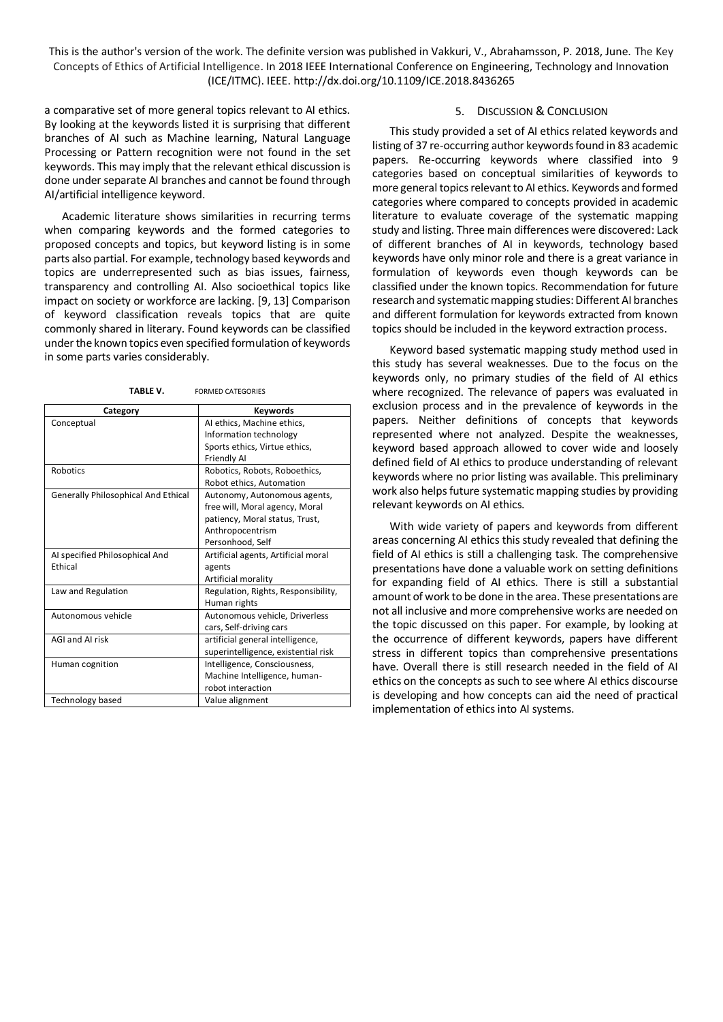a comparative set of more general topics relevant to AI ethics. By looking at the keywords listed it is surprising that different branches of AI such as Machine learning, Natural Language Processing or Pattern recognition were not found in the set keywords. This may imply that the relevant ethical discussion is done under separate AI branches and cannot be found through AI/artificial intelligence keyword.

Academic literature shows similarities in recurring terms when comparing keywords and the formed categories to proposed concepts and topics, but keyword listing is in some parts also partial. For example, technology based keywords and topics are underrepresented such as bias issues, fairness, transparency and controlling AI. Also socioethical topics like impact on society or workforce are lacking. [9, 13] Comparison of keyword classification reveals topics that are quite commonly shared in literary. Found keywords can be classified under the known topics even specified formulation of keywords in some parts varies considerably.

| Category                                   | <b>Keywords</b>                     |
|--------------------------------------------|-------------------------------------|
| Conceptual                                 | Al ethics, Machine ethics,          |
|                                            | Information technology              |
|                                            | Sports ethics, Virtue ethics,       |
|                                            | <b>Friendly Al</b>                  |
| <b>Robotics</b>                            | Robotics, Robots, Roboethics,       |
|                                            | Robot ethics, Automation            |
| <b>Generally Philosophical And Ethical</b> | Autonomy, Autonomous agents,        |
|                                            | free will, Moral agency, Moral      |
|                                            | patiency, Moral status, Trust,      |
|                                            | Anthropocentrism                    |
|                                            | Personhood, Self                    |
| AI specified Philosophical And             | Artificial agents, Artificial moral |
| Ethical                                    | agents                              |
|                                            | Artificial morality                 |
| Law and Regulation                         | Regulation, Rights, Responsibility, |
|                                            | Human rights                        |
| Autonomous vehicle                         | Autonomous vehicle, Driverless      |
|                                            | cars, Self-driving cars             |
| AGI and AI risk                            | artificial general intelligence,    |
|                                            | superintelligence, existential risk |
| Human cognition                            | Intelligence, Consciousness,        |
|                                            | Machine Intelligence, human-        |
|                                            | robot interaction                   |
| <b>Technology based</b>                    | Value alignment                     |

#### 5. DISCUSSION & CONCLUSION

This study provided a set of AI ethics related keywords and listing of 37 re-occurring author keywords found in 83 academic papers. Re-occurring keywords where classified into 9 categories based on conceptual similarities of keywords to more general topics relevant to AI ethics. Keywords and formed categories where compared to concepts provided in academic literature to evaluate coverage of the systematic mapping study and listing. Three main differences were discovered: Lack of different branches of AI in keywords, technology based keywords have only minor role and there is a great variance in formulation of keywords even though keywords can be classified under the known topics. Recommendation for future research and systematic mapping studies: Different AI branches and different formulation for keywords extracted from known topics should be included in the keyword extraction process.

Keyword based systematic mapping study method used in this study has several weaknesses. Due to the focus on the keywords only, no primary studies of the field of AI ethics where recognized. The relevance of papers was evaluated in exclusion process and in the prevalence of keywords in the papers. Neither definitions of concepts that keywords represented where not analyzed. Despite the weaknesses, keyword based approach allowed to cover wide and loosely defined field of AI ethics to produce understanding of relevant keywords where no prior listing was available. This preliminary work also helps future systematic mapping studies by providing relevant keywords on AI ethics.

With wide variety of papers and keywords from different areas concerning AI ethics this study revealed that defining the field of AI ethics is still a challenging task. The comprehensive presentations have done a valuable work on setting definitions for expanding field of AI ethics. There is still a substantial amount of work to be done in the area. These presentations are not all inclusive and more comprehensive works are needed on the topic discussed on this paper. For example, by looking at the occurrence of different keywords, papers have different stress in different topics than comprehensive presentations have. Overall there is still research needed in the field of AI ethics on the concepts as such to see where AI ethics discourse is developing and how concepts can aid the need of practical implementation of ethics into AI systems.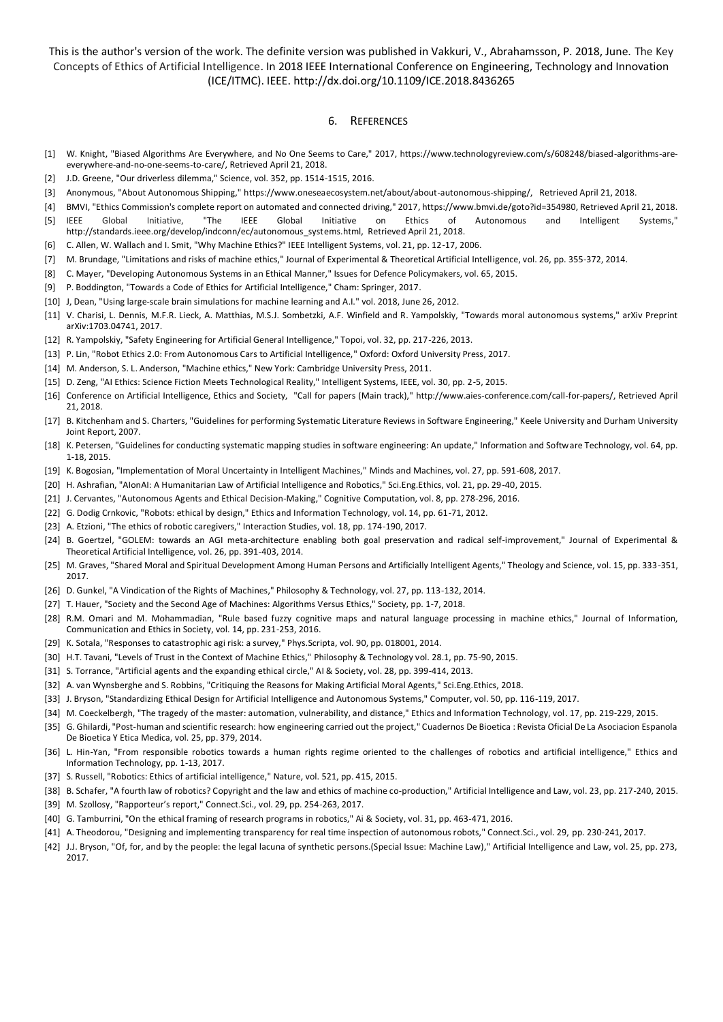#### 6. REFERENCES

- [1] W. Knight, "Biased Algorithms Are Everywhere, and No One Seems to Care," 2017, https://www.technologyreview.com/s/608248/biased-algorithms-areeverywhere-and-no-one-seems-to-care/, Retrieved April 21, 2018.
- [2] J.D. Greene, "Our driverless dilemma," Science, vol. 352, pp. 1514-1515, 2016.
- [3] Anonymous, "About Autonomous Shipping," https://www.oneseaecosystem.net/about/about-autonomous-shipping/, Retrieved April 21, 2018.
- [4] BMVI, "Ethics Commission's complete report on automated and connected driving," 2017, https://www.bmvi.de/goto?id=354980, Retrieved April 21, 2018. [5] IEEE Global Initiative, "The IEEE Global Initiative on Ethics of Autonomous and Intelligent Systems,"
- http://standards.ieee.org/develop/indconn/ec/autonomous\_systems.html, Retrieved April 21, 2018. [6] C. Allen, W. Wallach and I. Smit, "Why Machine Ethics?" IEEE Intelligent Systems, vol. 21, pp. 12-17, 2006.
- [7] M. Brundage, "Limitations and risks of machine ethics," Journal of Experimental & Theoretical Artificial Intelligence, vol. 26, pp. 355-372, 2014.
- [8] C. Mayer, "Developing Autonomous Systems in an Ethical Manner," Issues for Defence Policymakers, vol. 65, 2015.
- [9] P. Boddington, "Towards a Code of Ethics for Artificial Intelligence," Cham: Springer, 2017.
- [10] J, Dean, "Using large-scale brain simulations for machine learning and A.I." vol. 2018, June 26, 2012.
- [11] V. Charisi, L. Dennis, M.F.R. Lieck, A. Matthias, M.S.J. Sombetzki, A.F. Winfield and R. Yampolskiy, "Towards moral autonomous systems," arXiv Preprint arXiv:1703.04741, 2017.
- [12] R. Yampolskiy, "Safety Engineering for Artificial General Intelligence," Topoi, vol. 32, pp. 217-226, 2013.
- [13] P. Lin, "Robot Ethics 2.0: From Autonomous Cars to Artificial Intelligence," Oxford: Oxford University Press, 2017.
- [14] M. Anderson, S. L. Anderson, "Machine ethics," New York: Cambridge University Press, 2011.
- [15] D. Zeng, "AI Ethics: Science Fiction Meets Technological Reality," Intelligent Systems, IEEE, vol. 30, pp. 2-5, 2015.
- [16] Conference on Artificial Intelligence, Ethics and Society, "Call for papers (Main track)," http://www.aies-conference.com/call-for-papers/, Retrieved April 21, 2018.
- [17] B. Kitchenham and S. Charters, "Guidelines for performing Systematic Literature Reviews in Software Engineering," Keele University and Durham University Joint Report, 2007.
- [18] K. Petersen, "Guidelines for conducting systematic mapping studies in software engineering: An update," Information and Software Technology, vol. 64, pp. 1-18, 2015.
- [19] K. Bogosian, "Implementation of Moral Uncertainty in Intelligent Machines," Minds and Machines, vol. 27, pp. 591-608, 2017.
- [20] H. Ashrafian, "AIonAI: A Humanitarian Law of Artificial Intelligence and Robotics," Sci.Eng.Ethics, vol. 21, pp. 29-40, 2015.
- [21] J. Cervantes, "Autonomous Agents and Ethical Decision-Making," Cognitive Computation, vol. 8, pp. 278-296, 2016.
- [22] G. Dodig Crnkovic, "Robots: ethical by design," Ethics and Information Technology, vol. 14, pp. 61-71, 2012.
- [23] A. Etzioni, "The ethics of robotic caregivers," Interaction Studies, vol. 18, pp. 174-190, 2017.
- [24] B. Goertzel, "GOLEM: towards an AGI meta-architecture enabling both goal preservation and radical self-improvement," Journal of Experimental & Theoretical Artificial Intelligence, vol. 26, pp. 391-403, 2014.
- [25] M. Graves, "Shared Moral and Spiritual Development Among Human Persons and Artificially Intelligent Agents," Theology and Science, vol. 15, pp. 333-351, 2017.
- [26] D. Gunkel, "A Vindication of the Rights of Machines," Philosophy & Technology, vol. 27, pp. 113-132, 2014.
- [27] T. Hauer, "Society and the Second Age of Machines: Algorithms Versus Ethics," Society, pp. 1-7, 2018.
- [28] R.M. Omari and M. Mohammadian, "Rule based fuzzy cognitive maps and natural language processing in machine ethics," Journal of Information, Communication and Ethics in Society, vol. 14, pp. 231-253, 2016.
- [29] K. Sotala, "Responses to catastrophic agi risk: a survey," Phys.Scripta, vol. 90, pp. 018001, 2014.
- [30] H.T. Tavani, "Levels of Trust in the Context of Machine Ethics," Philosophy & Technology vol. 28.1, pp. 75-90, 2015.
- [31] S. Torrance, "Artificial agents and the expanding ethical circle," AI & Society, vol. 28, pp. 399-414, 2013.
- [32] A. van Wynsberghe and S. Robbins, "Critiquing the Reasons for Making Artificial Moral Agents," Sci.Eng.Ethics, 2018.
- [33] J. Bryson, "Standardizing Ethical Design for Artificial Intelligence and Autonomous Systems," Computer, vol. 50, pp. 116-119, 2017.
- [34] M. Coeckelbergh, "The tragedy of the master: automation, vulnerability, and distance," Ethics and Information Technology, vol. 17, pp. 219-229, 2015.

[35] G. Ghilardi, "Post-human and scientific research: how engineering carried out the project," Cuadernos De Bioetica : Revista Oficial De La Asociacion Espanola De Bioetica Y Etica Medica, vol. 25, pp. 379, 2014.

- [36] L. Hin-Yan, "From responsible robotics towards a human rights regime oriented to the challenges of robotics and artificial intelligence," Ethics and Information Technology, pp. 1-13, 2017.
- [37] S. Russell, "Robotics: Ethics of artificial intelligence," Nature, vol. 521, pp. 415, 2015.
- [38] B. Schafer, "A fourth law of robotics? Copyright and the law and ethics of machine co-production," Artificial Intelligence and Law, vol. 23, pp. 217-240, 2015.
- [39] M. Szollosy, "Rapporteur's report," Connect.Sci., vol. 29, pp. 254-263, 2017.
- [40] G. Tamburrini, "On the ethical framing of research programs in robotics," Ai & Society, vol. 31, pp. 463-471, 2016.
- [41] A. Theodorou, "Designing and implementing transparency for real time inspection of autonomous robots," Connect.Sci., vol. 29, pp. 230-241, 2017.
- [42] J.J. Bryson, "Of, for, and by the people: the legal lacuna of synthetic persons.(Special Issue: Machine Law)," Artificial Intelligence and Law, vol. 25, pp. 273, 2017.